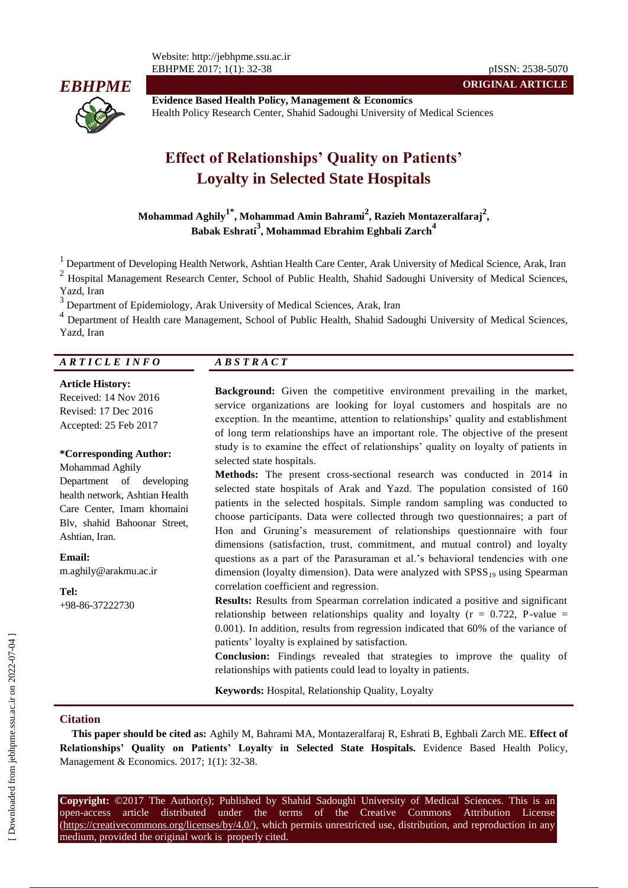Website: http://jebhpme.ssu.ac.ir EBHPME 2017; 1(1): 32-38 pISSN: 2538-5070



**Evidence Based Health Policy, Management & Economics** Health Policy Research Center, Shahid Sadoughi University of Medical Sciences

# **Effect of Relationships' Quality on Patients' Loyalty in Selected State Hospitals**

**Mohammad Aghily1\* , Mohammad Amin Bahrami<sup>2</sup> , Razieh Montazeralfaraj<sup>2</sup> , Babak Eshrati<sup>3</sup> , Mohammad Ebrahim Eghbali Zarch<sup>4</sup>**

<sup>1</sup> Department of Developing Health Network, Ashtian Health Care Center, Arak University of Medical Science, Arak, Iran

2 Hospital Management Research Center, School of Public Health, Shahid Sadoughi University of Medical Sciences, Yazd, Iran

3 Department of Epidemiology, Arak University of Medical Sciences, Arak, Iran

<sup>4</sup> Department of Health care Management, School of Public Health, Shahid Sadoughi University of Medical Sciences, Yazd, Iran

## *A R T I C L E I N F O A B S T R A C T*

#### **Article History:**

Received: 14 Nov 2016 Revised: 17 Dec 2016 Accepted: 25 Feb 2017

#### **\*Corresponding Author:**

Mohammad Aghily Department of developing health network, Ashtian Health Care Center, Imam khomaini Blv, shahid Bahoonar Street, Ashtian, Iran.

**Email:**

m.aghily@arakmu.ac.ir

**Tel:** +98-86-37222730

**Background:** Given the competitive environment prevailing in the market, service organizations are looking for loyal customers and hospitals are no exception. In the meantime, attention to relationships' quality and establishment of long term relationships have an important role. The objective of the present study is to examine the effect of relationships' quality on loyalty of patients in selected state hospitals.

**ORIGINAL ARTICLE**

**Methods:** The present cross-sectional research was conducted in 2014 in selected state hospitals of Arak and Yazd. The population consisted of 160 patients in the selected hospitals. Simple random sampling was conducted to choose participants. Data were collected through two questionnaires; a part of Hon and Gruning's measurement of relationships questionnaire with four dimensions (satisfaction, trust, commitment, and mutual control) and loyalty questions as a part of the Parasuraman et al.'s behavioral tendencies with one dimension (loyalty dimension). Data were analyzed with  $SPSS_{19}$  using Spearman correlation coefficient and regression.

**Results:** Results from Spearman correlation indicated a positive and significant relationship between relationships quality and loyalty ( $r = 0.722$ , P-value = 0.001). In addition, results from regression indicated that 60% of the variance of patients' loyalty is explained by satisfaction.

**Conclusion:** Findings revealed that strategies to improve the quality of relationships with patients could lead to loyalty in patients.

**Keywords:** Hospital, Relationship Quality, Loyalty

#### **Citation**

**This paper should be cited as:** Aghily M, Bahrami MA, Montazeralfaraj R, Eshrati B, Eghbali Zarch ME. **Effect of Relationships' Quality on Patients' Loyalty in Selected State Hospitals.** Evidence Based Health Policy, Management & Economics. 2017; 1(1): 32-38.

**Copyright:** ©2017 The Author(s); Published by Shahid Sadoughi University of Medical Sciences. This is an open-access article distributed under the terms of the Creative Commons Attribution License (https://creativecommons.org/licenses/by/4.0/), which permits unrestricted use, distribution, and reproduction in any medium, provided the original work is properly cited.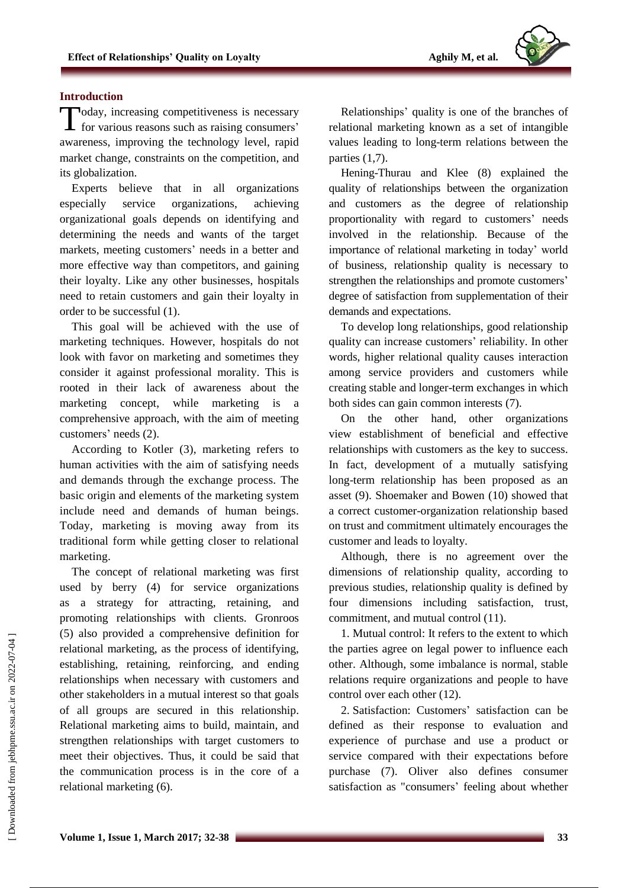## **Introduction**

Today, increasing competitiveness is necessary<br>for various reasons such as raising consumers' for various reasons such as raising consumers' awareness, improving the technology level, rapid market change, constraints on the competition, and its globalization.

Experts believe that in all organizations especially service organizations, achieving organizational goals depends on identifying and determining the needs and wants of the target markets, meeting customers' needs in a better and more effective way than competitors, and gaining their loyalty. Like any other businesses, hospitals need to retain customers and gain their loyalty in order to be successful (1).

This goal will be achieved with the use of marketing techniques. However, hospitals do not look with favor on marketing and sometimes they consider it against professional morality. This is rooted in their lack of awareness about the marketing concept, while marketing is comprehensive approach, with the aim of meeting customers' needs (2).

According to Kotler (3), marketing refers to human activities with the aim of satisfying needs and demands through the exchange process. The basic origin and elements of the marketing system include need and demands of human beings. Today, marketing is moving away from its traditional form while getting closer to relational marketing.

The concept of relational marketing was first used by berry (4) for service organizations as a strategy for attracting, retaining, and promoting relationships with clients. Gronroos (5) also provided a comprehensive definition for relational marketing, as the process of identifying, establishing, retaining, reinforcing, and ending relationships when necessary with customers and other stakeholders in a mutual interest so that goals of all groups are secured in this relationship. Relational marketing aims to build, maintain, and strengthen relationships with target customers to meet their objectives. Thus, it could be said that the communication process is in the core of a relational marketing (6).

Relationships' quality is one of the branches of relational marketing known as a set of intangible values leading to long-term relations between the parties (1,7).

Hening-Thurau and Klee (8) explained the quality of relationships between the organization and customers as the degree of relationship proportionality with regard to customers' needs involved in the relationship. Because of the importance of relational marketing in today' world of business, relationship quality is necessary to strengthen the relationships and promote customers' degree of satisfaction from supplementation of their demands and expectations.

To develop long relationships, good relationship quality can increase customers' reliability. In other words, higher relational quality causes interaction among service providers and customers while creating stable and longer-term exchanges in which both sides can gain common interests (7).

On the other hand, other organizations view establishment of beneficial and effective relationships with customers as the key to success. In fact, development of a mutually satisfying long-term relationship has been proposed as an asset (9). Shoemaker and Bowen (10) showed that a correct customer-organization relationship based on trust and commitment ultimately encourages the customer and leads to loyalty.

Although, there is no agreement over the dimensions of relationship quality, according to previous studies, relationship quality is defined by four dimensions including satisfaction, trust, commitment, and mutual control (11).

1. Mutual control: It refers to the extent to which the parties agree on legal power to influence each other. Although, some imbalance is normal, stable relations require organizations and people to have control over each other (12).

2. Satisfaction: Customers' satisfaction can be defined as their response to evaluation and experience of purchase and use a product or service compared with their expectations before purchase (7). Oliver also defines consumer satisfaction as "consumers' feeling about whether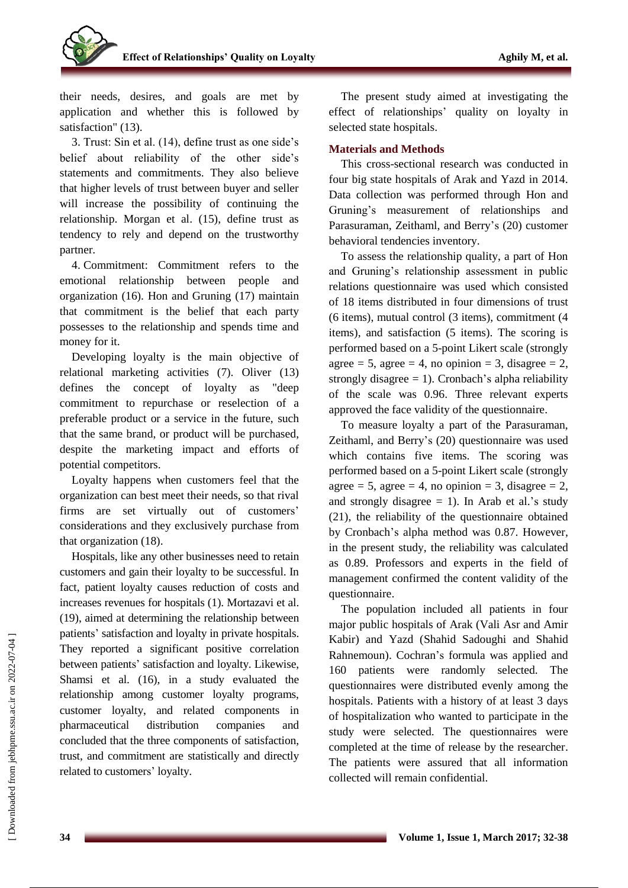their needs, desires, and goals are met by application and whether this is followed by satisfaction" (13).

3. Trust: Sin et al. (14), define trust as one side's belief about reliability of the other side's statements and commitments. They also believe that higher levels of trust between buyer and seller will increase the possibility of continuing the relationship. Morgan et al. (15), define trust as tendency to rely and depend on the trustworthy partner.

4. Commitment: Commitment refers to the emotional relationship between people and organization (16). Hon and Gruning (17) maintain that commitment is the belief that each party possesses to the relationship and spends time and money for it.

Developing loyalty is the main objective of relational marketing activities (7). Oliver (13) defines the concept of loyalty as "deep commitment to repurchase or reselection of a preferable product or a service in the future, such that the same brand, or product will be purchased, despite the marketing impact and efforts of potential competitors.

Loyalty happens when customers feel that the organization can best meet their needs, so that rival firms are set virtually out of customers' considerations and they exclusively purchase from that organization (18).

Hospitals, like any other businesses need to retain customers and gain their loyalty to be successful. In fact, patient loyalty causes reduction of costs and increases revenues for hospitals (1). Mortazavi et al. (19), aimed at determining the relationship between patients' satisfaction and loyalty in private hospitals. They reported a significant positive correlation between patients' satisfaction and loyalty. Likewise, Shamsi et al. (16), in a study evaluated the relationship among customer loyalty programs, customer loyalty, and related components in pharmaceutical distribution companies and concluded that the three components of satisfaction, trust, and commitment are statistically and directly related to customers' loyalty.

The present study aimed at investigating the effect of relationships' quality on loyalty in selected state hospitals.

# **Materials and Methods**

This cross-sectional research was conducted in four big state hospitals of Arak and Yazd in 2014. Data collection was performed through Hon and Gruning's measurement of relationships and Parasuraman, Zeithaml, and Berry's (20) customer behavioral tendencies inventory.

To assess the relationship quality, a part of Hon and Gruning's relationship assessment in public relations questionnaire was used which consisted of 18 items distributed in four dimensions of trust (6 items), mutual control (3 items), commitment (4 items), and satisfaction (5 items). The scoring is performed based on a 5-point Likert scale (strongly agree = 5, agree = 4, no opinion = 3, disagree = 2, strongly disagree  $= 1$ ). Cronbach's alpha reliability of the scale was 0.96. Three relevant experts approved the face validity of the questionnaire.

To measure loyalty a part of the Parasuraman, Zeithaml, and Berry's (20) questionnaire was used which contains five items. The scoring was performed based on a 5-point Likert scale (strongly agree = 5, agree = 4, no opinion = 3, disagree = 2, and strongly disagree  $= 1$ ). In Arab et al.'s study (21), the reliability of the questionnaire obtained by Cronbach's alpha method was 0.87. However, in the present study, the reliability was calculated as 0.89. Professors and experts in the field of management confirmed the content validity of the questionnaire.

The population included all patients in four major public hospitals of Arak (Vali Asr and Amir Kabir) and Yazd (Shahid Sadoughi and Shahid Rahnemoun). Cochran's formula was applied and 160 patients were randomly selected. The questionnaires were distributed evenly among the hospitals. Patients with a history of at least 3 days of hospitalization who wanted to participate in the study were selected. The questionnaires were completed at the time of release by the researcher. The patients were assured that all information collected will remain confidential.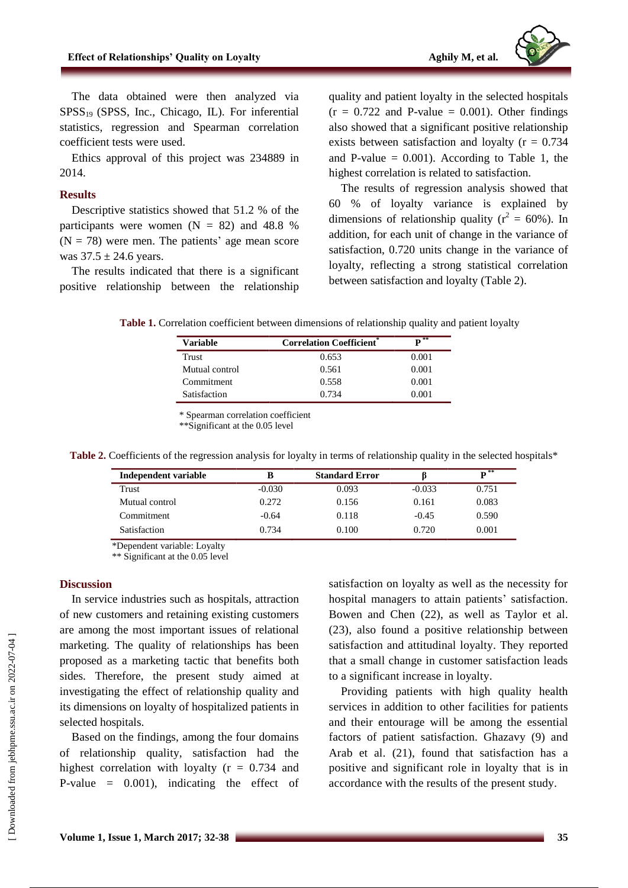

The data obtained were then analyzed via  $SPSS<sub>19</sub>$  (SPSS, Inc., Chicago, IL). For inferential statistics, regression and Spearman correlation coefficient tests were used.

Ethics approval of this project was 234889 in 2014.

#### **Results**

Descriptive statistics showed that 51.2 % of the participants were women  $(N = 82)$  and 48.8 %  $(N = 78)$  were men. The patients' age mean score was  $37.5 \pm 24.6$  years.

The results indicated that there is a significant positive relationship between the relationship

quality and patient loyalty in the selected hospitals  $(r = 0.722$  and P-value = 0.001). Other findings also showed that a significant positive relationship exists between satisfaction and loyalty ( $r = 0.734$ ) and P-value  $= 0.001$ ). According to Table 1, the highest correlation is related to satisfaction.

The results of regression analysis showed that 60 % of loyalty variance is explained by dimensions of relationship quality ( $r^2 = 60\%$ ). In addition, for each unit of change in the variance of satisfaction, 0.720 units change in the variance of loyalty, reflecting a strong statistical correlation between satisfaction and loyalty (Table 2).

**Table 1.** Correlation coefficient between dimensions of relationship quality and patient loyalty

| <b>Variable</b> | <b>Correlation Coefficient</b> * | $\mathbf{p}^{**}$ |
|-----------------|----------------------------------|-------------------|
| Trust           | 0.653                            | 0.001             |
| Mutual control  | 0.561                            | 0.001             |
| Commitment      | 0.558                            | 0.001             |
| Satisfaction    | 0.734                            | 0.001             |

\* Spearman correlation coefficient

\*\*Significant at the 0.05 level

| Independent variable |          | <b>Standard Error</b> |          | $\overline{\mathbf{p}^{**}}$ |
|----------------------|----------|-----------------------|----------|------------------------------|
| Trust                | $-0.030$ | 0.093                 | $-0.033$ | 0.751                        |
| Mutual control       | 0.272    | 0.156                 | 0.161    | 0.083                        |
| Commitment           | $-0.64$  | 0.118                 | $-0.45$  | 0.590                        |
| Satisfaction         | 0.734    | 0.100                 | 0.720    | 0.001                        |

Table 2. Coefficients of the regression analysis for loyalty in terms of relationship quality in the selected hospitals\*

\*Dependent variable: Loyalty

\*\* Significant at the 0.05 level

### **Discussion**

In service industries such as hospitals, attraction of new customers and retaining existing customers are among the most important issues of relational marketing. The quality of relationships has been proposed as a marketing tactic that benefits both sides. Therefore, the present study aimed at investigating the effect of relationship quality and its dimensions on loyalty of hospitalized patients in selected hospitals.

Based on the findings, among the four domains of relationship quality, satisfaction had the highest correlation with loyalty  $(r = 0.734$  and P-value = 0.001), indicating the effect of satisfaction on loyalty as well as the necessity for hospital managers to attain patients' satisfaction. Bowen and Chen (22), as well as Taylor et al. (23), also found a positive relationship between satisfaction and attitudinal loyalty. They reported that a small change in customer satisfaction leads to a significant increase in loyalty.

Providing patients with high quality health services in addition to other facilities for patients and their entourage will be among the essential factors of patient satisfaction. Ghazavy (9) and Arab et al. (21), found that satisfaction has a positive and significant role in loyalty that is in accordance with the results of the present study.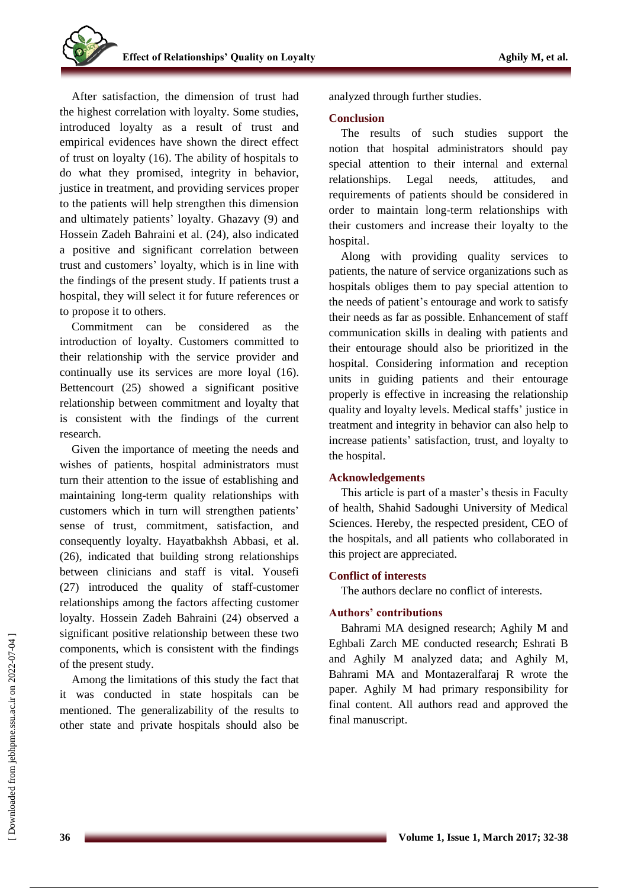After satisfaction, the dimension of trust had the highest correlation with loyalty. Some studies, introduced loyalty as a result of trust and empirical evidences have shown the direct effect of trust on loyalty (16). The ability of hospitals to do what they promised, integrity in behavior, justice in treatment, and providing services proper to the patients will help strengthen this dimension and ultimately patients' loyalty. Ghazavy (9) and Hossein Zadeh Bahraini et al. (24), also indicated a positive and significant correlation between trust and customers' loyalty, which is in line with the findings of the present study. If patients trust a hospital, they will select it for future references or to propose it to others.

Commitment can be considered as the introduction of loyalty. Customers committed to their relationship with the service provider and continually use its services are more loyal (16). Bettencourt (25) showed a significant positive relationship between commitment and loyalty that is consistent with the findings of the current research.

Given the importance of meeting the needs and wishes of patients, hospital administrators must turn their attention to the issue of establishing and maintaining long-term quality relationships with customers which in turn will strengthen patients' sense of trust, commitment, satisfaction, and consequently loyalty. Hayatbakhsh Abbasi, et al. (26), indicated that building strong relationships between clinicians and staff is vital. Yousefi (27) introduced the quality of staff-customer relationships among the factors affecting customer loyalty. Hossein Zadeh Bahraini (24) observed a significant positive relationship between these two components, which is consistent with the findings of the present study.

Among the limitations of this study the fact that it was conducted in state hospitals can be mentioned. The generalizability of the results to other state and private hospitals should also be analyzed through further studies.

## **Conclusion**

The results of such studies support the notion that hospital administrators should pay special attention to their internal and external relationships. Legal needs, attitudes, and requirements of patients should be considered in order to maintain long-term relationships with their customers and increase their loyalty to the hospital.

Along with providing quality services to patients, the nature of service organizations such as hospitals obliges them to pay special attention to the needs of patient's entourage and work to satisfy their needs as far as possible. Enhancement of staff communication skills in dealing with patients and their entourage should also be prioritized in the hospital. Considering information and reception units in guiding patients and their entourage properly is effective in increasing the relationship quality and loyalty levels. Medical staffs' justice in treatment and integrity in behavior can also help to increase patients' satisfaction, trust, and loyalty to the hospital.

## **Acknowledgements**

This article is part of a master's thesis in Faculty of health, Shahid Sadoughi University of Medical Sciences. Hereby, the respected president, CEO of the hospitals, and all patients who collaborated in this project are appreciated.

# **Conflict of interests**

The authors declare no conflict of interests.

## **Authors' contributions**

Bahrami MA designed research; Aghily M and Eghbali Zarch ME conducted research; Eshrati B and Aghily M analyzed data; and Aghily M, Bahrami MA and Montazeralfaraj R wrote the paper. Aghily M had primary responsibility for final content. All authors read and approved the final manuscript.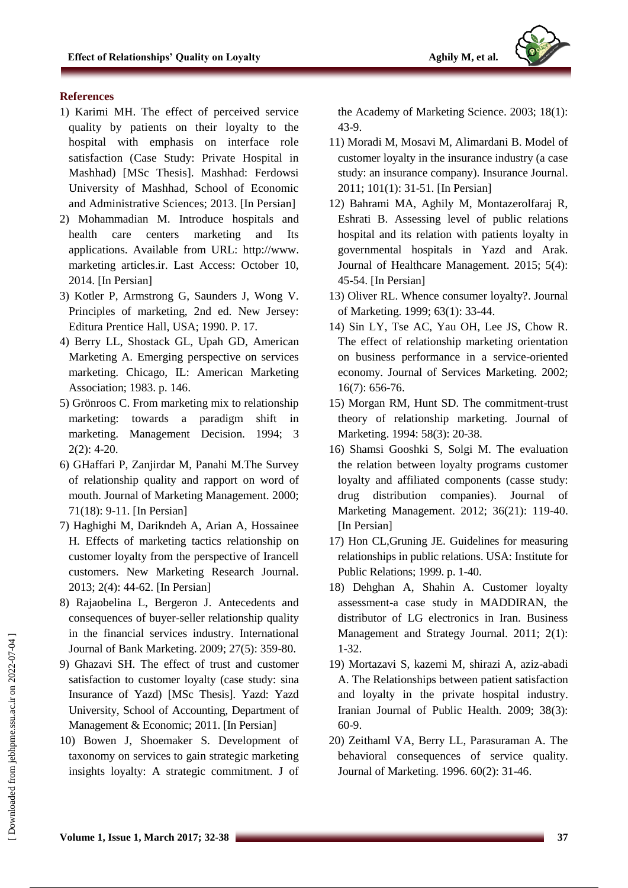

# **References**

- 1) Karimi MH. The effect of perceived service quality by patients on their loyalty to the hospital with emphasis on interface role satisfaction (Case Study: Private Hospital in Mashhad) [MSc Thesis]. Mashhad: Ferdowsi University of Mashhad, School of Economic and Administrative Sciences; 2013. [In Persian]
- 2) Mohammadian M. Introduce hospitals and health care centers marketing and Its applications. Available from URL: http://www. marketing articles.ir. Last Access: October 10, 2014. [In Persian]
- 3) Kotler P, Armstrong G, Saunders J, Wong V. Principles of marketing, 2nd ed. New Jersey: Editura Prentice Hall, USA; 1990. P. 17.
- 4) Berry LL, Shostack GL, Upah GD, American Marketing A. Emerging perspective on services marketing. Chicago, IL: American Marketing Association; 1983. p. 146.
- 5) Grönroos C. From marketing mix to relationship marketing: towards a paradigm shift in marketing. Management Decision. 1994; 3 2(2): 4-20.
- 6) GHaffari P, Zanjirdar M, Panahi M.The Survey of relationship quality and rapport on word of mouth. Journal of Marketing Management. 2000; 71(18): 9-11. [In Persian]
- 7) Haghighi M, Darikndeh A, Arian A, Hossainee H. Effects of marketing tactics relationship on customer loyalty from the perspective of Irancell customers. New Marketing Research Journal. 2013; 2(4): 44-62. [In Persian]
- 8) Rajaobelina L, Bergeron J. Antecedents and consequences of buyer-seller relationship quality in the financial services industry. International Journal of Bank Marketing. 2009; 27(5): 359-80.
- 9) Ghazavi SH. The effect of trust and customer satisfaction to customer loyalty (case study: sina Insurance of Yazd) [MSc Thesis]. Yazd: Yazd University, School of Accounting, Department of Management & Economic; 2011. [In Persian]
- 10) Bowen J, Shoemaker S. Development of taxonomy on services to gain strategic marketing insights loyalty: A strategic commitment. J of

the Academy of Marketing Science. 2003; 18(1): 43-9.

- 11) Moradi M, Mosavi M, Alimardani B. Model of customer loyalty in the insurance industry (a case study: an insurance company). Insurance Journal. 2011; 101(1): 31-51. [In Persian]
- 12) Bahrami MA, Aghily M, Montazerolfaraj R, Eshrati B. Assessing level of public relations hospital and its relation with patients loyalty in governmental hospitals in Yazd and Arak. Journal of Healthcare Management. 2015; 5(4): 45-54. [In Persian]
- 13) Oliver RL. Whence consumer loyalty?. Journal of Marketing. 1999; 63(1): 33-44.
- 14) Sin LY, Tse AC, Yau OH, Lee JS, Chow R. The effect of relationship marketing orientation on business performance in a service-oriented economy. Journal of Services Marketing. 2002; 16(7): 656-76.
- 15) Morgan RM, Hunt SD. The commitment-trust theory of relationship marketing. Journal of Marketing. 1994: 58(3): 20-38.
- 16) Shamsi Gooshki S, Solgi M. The evaluation the relation between loyalty programs customer loyalty and affiliated components (casse study: drug distribution companies). Journal of Marketing Management. 2012; 36(21): 119-40. [In Persian]
- 17) Hon CL,Gruning JE. Guidelines for measuring relationships in public relations. USA: Institute for Public Relations; 1999. p. 1-40.
- 18) Dehghan A, Shahin A. Customer loyalty assessment-a case study in MADDIRAN, the distributor of LG electronics in Iran. Business Management and Strategy Journal. 2011; 2(1): 1-32.
- 19) Mortazavi S, kazemi M, shirazi A, aziz-abadi A. The Relationships between patient satisfaction and loyalty in the private hospital industry. Iranian Journal of Public Health. 2009; 38(3): 60-9.
- 20) Zeithaml VA, Berry LL, Parasuraman A. The behavioral consequences of service quality. Journal of Marketing. 1996. 60(2): 31-46.